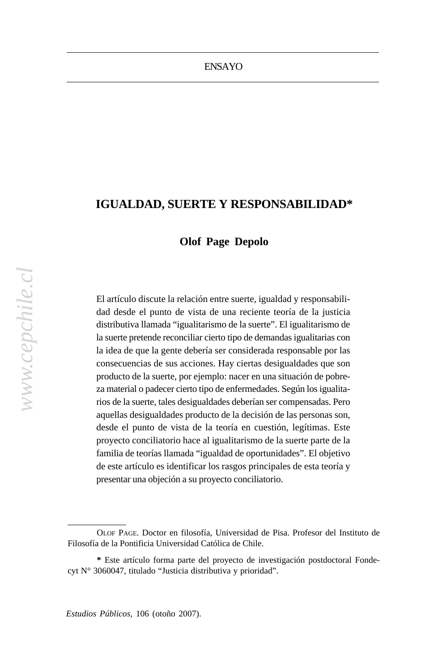economy has slowed somewhat since the coalition in the coalition of the coalition of the coalition of the coali

with Chile's unusual electronic unusual electronic unusual electronic unusual electronic unusual electronic un<br>Electronic unusual electronic unusual electronic unusual electronic unusual electronic unus unus unus unus unu

## **IGUALDAD, SUERTE Y RESPONSABILIDAD\*** coalitions anywhere, much less among Latin America's presidential

### corruption charges **a** Depolo

El artículo discute la relación entre suerte, igualdad y responsabilidad desde el punto de vista de una reciente teoría de la justicia distributiva llamada "igualitarismo de la suerte". El igualitarismo de la suerte pretende reconciliar cierto tipo de demandas igualitarias con la idea de que la gente debería ser considerada responsable por las consecuencias de sus acciones. Hay ciertas desigualdades que son producto de la suerte, por ejemplo: nacer en una situación de pobreza material o padecer cierto tipo de enfermedades. Según los igualitarios de la suerte, tales desigualdades deberían ser compensadas. Pero aquellas desigualdades producto de la decisión de las personas son, desde el punto de vista de la teoría en cuestión, legítimas. Este proyecto conciliatorio hace al igualitarismo de la suerte parte de la familia de teorías llamada "igualdad de oportunidades". El objetivo de este artículo es identificar los rasgos principales de esta teoría y presentar una objeción a su proyecto conciliatorio.

OLOF PAGE. Doctor en filosofía, Universidad de Pisa. Profesor del Instituto de Filosofía de la Pontificia Universidad Católica de Chile.

**<sup>\*</sup>** Este artículo forma parte del proyecto de investigación postdoctoral Fondecyt N° 3060047, titulado "Justicia distributiva y prioridad".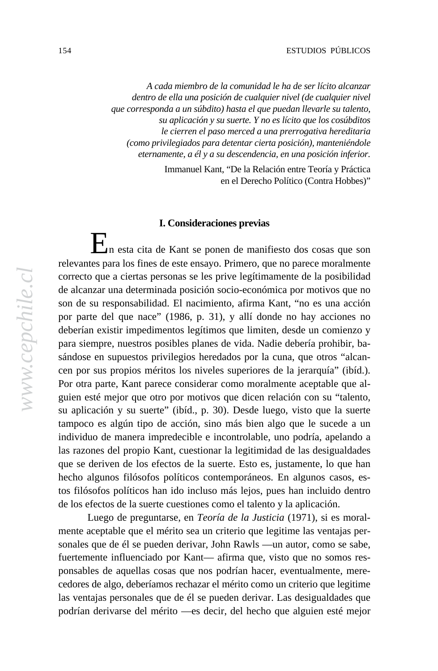economy has slowed somewhat since the coalition's early years in *A cada miembro de la comunidad le ha de ser lícito alcanzar dentro de ella una posición de cualquier nivel (de cualquier nivel* que corresponda a un súbdito) hasta el que puedan llevarle su talento, 1980s, so as time passes, the compelling force of that initial motivation *su aplicación y su suerte. Y no es lícito que los cosúbditos* le cierren el paso merced a una prerrogativa hereditaria parties —most notably the Christian Democrats— are internally divided *(como privilegiados para detentar cierta posición), manteniéndole* eternamente, a él y a su descendencia, en una posición inferior.

Immanuel Kant, "De la Relación entre Teoría y Práctica en er Dereeno i ontreo (Contra 1100 en el Derecho Político (Contra Hobbes)"

# systems, the Concertación is geriatric, bearing the scars of miscellaneous **I. Consideraciones previas**

corruption charges against members, including the stripping of  $\mathbf{E}_{\mathbf{n}}$  esta cita de Kant se ponen de manifiesto dos cosas que son relevantes para los fines de este ensayo. Primero, que no parece moralmente correcto que a ciertas personas se les prive legítimamente de la posibilidad de alcanzar una determinada posición socio-económica por motivos que no son de su responsabilidad. El nacimiento, afirma Kant, "no es una acción por parte del que nace" (1986, p. 31), y allí donde no hay acciones no deberían existir impedimentos legítimos que limiten, desde un comienzo y para siempre, nuestros posibles planes de vida. Nadie debería prohibir, basándose en supuestos privilegios heredados por la cuna, que otros "alcancen por sus propios méritos los niveles superiores de la jerarquía" (ibíd.). Por otra parte, Kant parece considerar como moralmente aceptable que alguien esté mejor que otro por motivos que dicen relación con su "talento, su aplicación y su suerte" (ibíd., p. 30). Desde luego, visto que la suerte tampoco es algún tipo de acción, sino más bien algo que le sucede a un individuo de manera impredecible e incontrolable, uno podría, apelando a las razones del propio Kant, cuestionar la legitimidad de las desigualdades que se deriven de los efectos de la suerte. Esto es, justamente, lo que han hecho algunos filósofos políticos contemporáneos. En algunos casos, estos filósofos políticos han ido incluso más lejos, pues han incluido dentro de los efectos de la suerte cuestiones como el talento y la aplicación.

Luego de preguntarse, en *Teoría de la Justicia* (1971), si es moralmente aceptable que el mérito sea un criterio que legitime las ventajas personales que de él se pueden derivar, John Rawls —un autor, como se sabe, fuertemente influenciado por Kant— afirma que, visto que no somos responsables de aquellas cosas que nos podrían hacer, eventualmente, merecedores de algo, deberíamos rechazar el mérito como un criterio que legitime las ventajas personales que de él se pueden derivar. Las desigualdades que podrían derivarse del mérito —es decir, del hecho que alguien esté mejor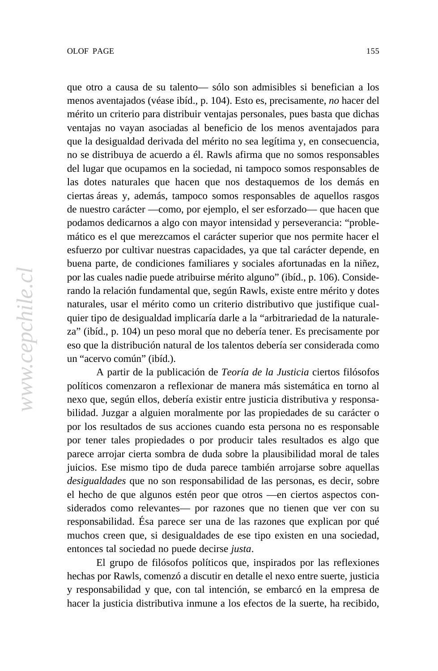que otro a causa de su talento— sólo son admisibles si benefician a los gue ono a causa de su talento—solo son admissioles si beneficial menos aventajados (véase ibíd., p. 104). Esto es, precisamente, *no* hacer del mérito un criterio para distribuir ventajas personales, pues basta que dichas ventajas no vayan asociadas al beneficio de los menos aventajados para que la desigualdad derivada del mérito no sea legítima y, en consecuencia, no se distribuya de acuerdo a él. Rawls afirma que no somos responsables del lugar que ocupamos en la sociedad, ni tampoco somos responsables de las dotes naturales que hacen que nos destaquemos de los demás en ciertas áreas y, además, tampoco somos responsables de aquellos rasgos de nuestro carácter —como, por ejemplo, el ser esforzado— que hacen que podamos dedicarnos a algo con mayor intensidad y perseverancia: "problemático es el que merezcamos el carácter superior que nos permite hacer el esfuerzo por cultivar nuestras capacidades, ya que tal carácter depende, en buena parte, de condiciones familiares y sociales afortunadas en la niñez, por las cuales nadie puede atribuirse mérito alguno" (ibíd., p. 106). Considerando la relación fundamental que, según Rawls, existe entre mérito y dotes naturales, usar el mérito como un criterio distributivo que justifique cualquier tipo de desigualdad implicaría darle a la "arbitrariedad de la naturaleza" (ibíd., p. 104) un peso moral que no debería tener. Es precisamente por eso que la distribución natural de los talentos debería ser considerada como un "acervo común" (ibíd.).

A partir de la publicación de *Teoría de la Justicia* ciertos filósofos políticos comenzaron a reflexionar de manera más sistemática en torno al nexo que, según ellos, debería existir entre justicia distributiva y responsabilidad. Juzgar a alguien moralmente por las propiedades de su carácter o por los resultados de sus acciones cuando esta persona no es responsable por tener tales propiedades o por producir tales resultados es algo que parece arrojar cierta sombra de duda sobre la plausibilidad moral de tales juicios. Ese mismo tipo de duda parece también arrojarse sobre aquellas *desigualdades* que no son responsabilidad de las personas, es decir, sobre el hecho de que algunos estén peor que otros —en ciertos aspectos considerados como relevantes— por razones que no tienen que ver con su responsabilidad. Ésa parece ser una de las razones que explican por qué muchos creen que, si desigualdades de ese tipo existen en una sociedad, entonces tal sociedad no puede decirse *justa*.

El grupo de filósofos políticos que, inspirados por las reflexiones hechas por Rawls, comenzó a discutir en detalle el nexo entre suerte, justicia y responsabilidad y que, con tal intención, se embarcó en la empresa de hacer la justicia distributiva inmune a los efectos de la suerte, ha recibido,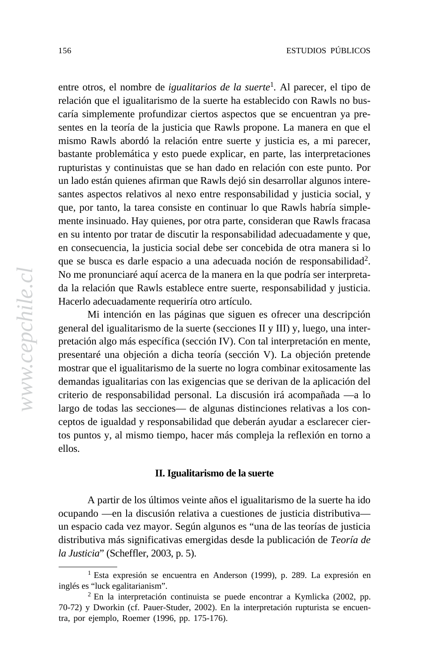entre otros, el nombre de *igualitarios de la suerte*<sup>1</sup>. Al parecer, el tipo de relación que el igualitarismo de la suerte masacido con Rawls no busrelation que el igualitatismo de la suerte ha establecido con Rawls ho caría simplemente profundizar ciertos aspectos que se encuentran ya presenes en la teoría de la justicia que Rawis propone. La manera en que component de la component de la componen mismo Rawls abordó la relación entre suerte y justicia es, a mi parecer, oasiante problemanca y esto puede expirea, en parte, has interpretaer rupturistas y continuistas que se han dado en relación con este punto. Por an rado estan quienes animan que Kawis dejo sin desarronar argunos interesantes aspectos relativos al nexo entre responsabilidad y justicia social, y sances aspectos relativos al fiexo entre responsabilidad y justicia social, y que, por tanto, la tarea consiste en continuar lo que Rawls habría simplecoalitions anywhere, much less among Latin America's presidential mente insinuado. Hay quienes, por otra parte, consideran que Rawls fracasa systems, the Concertación is geriatric, bearing the scars of miscellaneous en su intento por tratar de discutir la responsabilidad adecuadamente y que, en su memo por unan de diseam la responsabilidad adecuadamente y que, en consecuencia, la justicia social debe ser concebida de otra manera si lo en consecuencia, la justicia social debe ser concebida de otra maneira si lo<br>que se busca es darle espacio a una adecuada noción de responsabilidad<sup>2</sup>. que se busca es uarie espacio a una auceuada nocion de responsabilità No me pronunciaré aquí acerca de la manera en la que podría ser interpretada la relación que Rawls establece entre suerte, responsabilidad y justicia. sentes en la teoría de la justicia que Rawls propone. La manera en que el bastante problemática y esto puede explicar, en parte, las interpretaciones un lado están quienes afirman que Rawls dejó sin desarrollar algunos intere-Hacerlo adecuadamente requeriría otro artículo.

nacerto aleculadamente requermia ou o articulo.<br>Mi intención en las páginas que siguen es ofrecer una descripción necessarily devast and the coalition of the coalition's survival for a number of reasons. general del igualitarismo de la suerte (secciones II y III) y, luego, una interpredeton algo más espectiva (sección IV). Con la interpredetión en ineite,<br>presentaré una objeción a dicha teoría (sección V). La objeción pretende mostrar que el igualitarismo de la suerte no logra combinar exitosamente las mostrar que en guantarismo de la suerte no logra comomía exitosamente las<br>demandas igualitarias con las exigencias que se derivan de la aplicación del ecinandas iguardarías con las exigencias que se derivan de la apreación del<br>criterio de responsabilidad personal. La discusión irá acompañada —a lo democratic de responsabilidad personal. Ea diseasión ha acompañada e a los con-<br>largo de todas las secciones— de algunas distinciones relativas a los conpretación algo más específica (sección IV). Con tal interpretación en mente, ceptos de igualdad y responsabilidad que deberán ayudar a esclarecer ciertos puntos y, al mismo tiempo, hacer más compleja la reflexión en torno a ellos.

### **II. Igualitarismo de la suerte**

A partir de los últimos veinte años el igualitarismo de la suerte ha ido ocupando —en la discusión relativa a cuestiones de justicia distributiva un espacio cada vez mayor. Según algunos es "una de las teorías de justicia distributiva más significativas emergidas desde la publicación de *Teoría de la Justicia*" (Scheffler, 2003, p. 5).

<sup>1</sup> Esta expresión se encuentra en Anderson (1999), p. 289. La expresión en inglés es "luck egalitarianism".

 $2$  En la interpretación continuista se puede encontrar a Kymlicka (2002, pp. 70-72) y Dworkin (cf. Pauer-Studer, 2002). En la interpretación rupturista se encuentra, por ejemplo, Roemer (1996, pp. 175-176).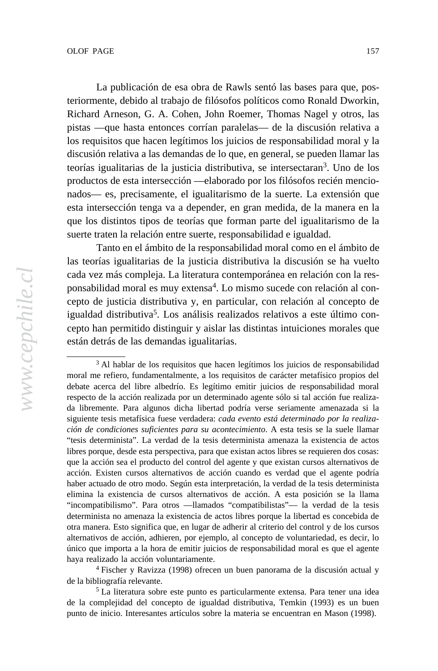La publicación de esa obra de Rawls sentó las bases para que, pos-E publicación de esa obra de Rawis sento las bases para que, pos-<br>teriormente, debido al trabajo de filósofos políticos como Ronald Dworkin, Richard Arneson, G. A. Cohen, John Roemer, Thomas Nagel y otros, las nemata Arneson, G. A. Conen, sono Roemer, Thomas Nager y otros, has<br>pistas —que hasta entonces corrían paralelas— de la discusión relativa a pistas — que hasta entonces corrian paracias— de la discusión relativa a<br>los requisitos que hacen legítimos los juicios de responsabilidad moral y la parties de morte de march regiuntos los julcios de responsabilidad morar y la<br>discusión relativa a las demandas de lo que, en general, se pueden llamar las discussion relativa a las demandas de lo que, en general, se pueden namar las<br>teorías igualitarias de la justicia distributiva, se intersectaran<sup>3</sup>. Uno de los control. Finally, by the 2005 elections, the Concertación will have held the productos de esta intersección —elaborado por los filósofos recién mencioproductos de esta intersección —claborado por los filosofos fecten inencio-<br>nados— es, precisamente, el igualitarismo de la suerte. La extensión que nados— est, precisamente, en iguantarismo de la suerte. Ea extensión que<br>esta intersección tenga va a depender, en gran medida, de la manera en la esta intersección tenga va a depender, en gran incuida, de la manera en la<br>que los distintos tipos de teorías que forman parte del igualitarismo de la suerte traten la relación entre suerte, responsabilidad e igualdad.

stricte d'alem la relación charges agrice, inclusion charges againsta.<br>Tanto en el ámbito de la responsabilidad moral como en el ámbito de parliamentary rights from five of the coalition's deputies in 2002, and the las teorías igualitarias de la justicia distributiva la discusión se ha vuelto ras corras regular distritusion distributiva la discussión se ha vuento<br>cada vez más compleja. La literatura contemporánea en relación con la resedda vez mas compleja. Ea incritada concimporanta en relación con la responsabilidad moral es muy extensa<sup>4</sup>. Lo mismo sucede con relación al con-Any of these forces, or some combination of them, could indeed cepto de justicia distributiva y, en particular, con relación al concepto de igualdad distributiva<sup>5</sup>. Los análisis realizados relativos a este último connecessarily devantual for a number of reasons for a number of reasons. cepto han permitido distinguir y aislar las distintas intuiciones morales que están detrás de las demandas igualitarias.

4 Fischer y Ravizza (1998) ofrecen un buen panorama de la discusión actual y de la bibliografía relevante.

 $\frac{3}{3}$ Al hablar de los requisitos que hacen legítimos los juicios de responsabilidad moral me refiero, fundamentalmente, a los requisitos de carácter metafísico propios del debate acerca del libre albedrío. Es legítimo emitir juicios de responsabilidad moral respecto de la acción realizada por un determinado agente sólo si tal acción fue realizada libremente. Para algunos dicha libertad podría verse seriamente amenazada si la siguiente tesis metafísica fuese verdadera: *cada evento está determinado por la realización de condiciones suficientes para su acontecimiento*. A esta tesis se la suele llamar "tesis determinista". La verdad de la tesis determinista amenaza la existencia de actos libres porque, desde esta perspectiva, para que existan actos libres se requieren dos cosas: que la acción sea el producto del control del agente y que existan cursos alternativos de acción. Existen cursos alternativos de acción cuando es verdad que el agente podría haber actuado de otro modo. Según esta interpretación, la verdad de la tesis determinista elimina la existencia de cursos alternativos de acción. A esta posición se la llama "incompatibilismo". Para otros —llamados "compatibilistas"— la verdad de la tesis determinista no amenaza la existencia de actos libres porque la libertad es concebida de otra manera. Esto significa que, en lugar de adherir al criterio del control y de los cursos alternativos de acción, adhieren, por ejemplo, al concepto de voluntariedad, es decir, lo único que importa a la hora de emitir juicios de responsabilidad moral es que el agente haya realizado la acción voluntariamente.

<sup>5</sup> La literatura sobre este punto es particularmente extensa. Para tener una idea de la complejidad del concepto de igualdad distributiva, Temkin (1993) es un buen punto de inicio. Interesantes artículos sobre la materia se encuentran en Mason (1998).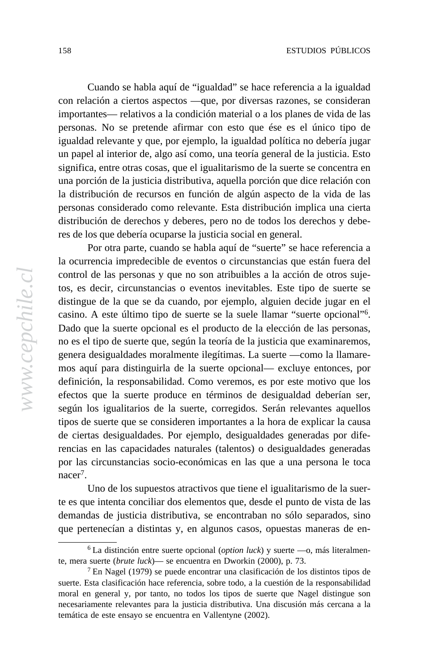Cuando se habla aquí de "igualdad" se hace referencia a la igualdad government during the 1990s of the control of a 1990s. More control to the coalition in the coalition in the control of the coalition in the coalition in the coalition of the coalition in the coalition of the coalition in con relación a ciertos aspectos —que, por diversas razones, se consideran 1980s, so as time passes, the compelling force of that initial motivation personas. No se pretende afirmar con esto que ése es el único tipo de personas. To se pretende aminar con esto que ese es er unico up igualdad relevante y que, por ejemplo, la igualdad política no debería jugar on paper as interior ac, algo así como, ana teoria general ac la justicia. significa, entre otras cosas, que el igualitarismo de la suerte se concentra en na porción de la justicia distributiva, aquella porción que dice relación con<br>la distribución de recursos en función de algún aspecto de la vida de las ra distribución de recursos en runción de argun aspecio de la vida de las<br>personas considerado como relevante. Esta distribución implica una cierta personas considerado como relevante. Esta distribución impieda una eleita<br>distribución de derechos y deberes, pero no de todos los derechos y deberes de los que debería ocuparse la justicia social en general. importantes— relativos a la condición material o a los planes de vida de las un papel al interior de, algo así como, una teoría general de la justicia. Esto una porción de la justicia distributiva, aquella porción que dice relación con

res de los que deberta ocupaise la justicia social en general.<br>Por otra parte, cuando se habla aquí de "suerte" se hace referencia a participarida están from five of the coalition's deputies in 2002, and the coalition's dependence of the coalition's dependence of the coalition's dependence of the coalition's dependence of the coalition's dependence of t ra beurtenera impredectible de eventos o circuistaneias que están fuero control de las personas y que no son atribuibles a la acción de otros sujedistingue de la que se da cuando, por ejemplo, alguien decide jugar en el undermine the Concertación, but we do not regard these factors as casino. A este último tipo de suerte se la suele llamar "suerte opcional"6. necessão. A este uma upo de suerte se ra suere numarezado operante sur a numero elección de las personas, In the first place, the Chilean economy has come through the last five years no es el tipo de suerte que, según la teoría de la justicia que examinaremos, no es er upo de suerte que, segun la teoría de la justicia que examinacionos, genera desigualdades moralmente ilegítimas. La suerte —como la llamareemployees and growth figures rebounded in figures reduced to 2003 a numerous mos aquí para distinguirla de la suerte opcional— excluye entonces, por mos aqui para uisinguiria de la suerte operonal— exercye entonces, por definición, la responsabilidad. Como veremos, es por este motivo que los economicon, la responsabilidad. Como veremos, es por este motivo que los efectos que la suerte produce en términos de desigualdad deberían ser, erectos que la suerte produce en terminos de desigualdad deberían ser, según los igualitarios de la suerte, corregidos. Serán relevantes aquellos tos, es decir, circunstancias o eventos inevitables. Este tipo de suerte se tipos de suerte que se consideren importantes a la hora de explicar la causa de ciertas desigualdades. Por ejemplo, desigualdades generadas por diferencias en las capacidades naturales (talentos) o desigualdades generadas por las circunstancias socio-económicas en las que a una persona le toca nacer<sup>7</sup>.

Uno de los supuestos atractivos que tiene el igualitarismo de la suerte es que intenta conciliar dos elementos que, desde el punto de vista de las demandas de justicia distributiva, se encontraban no sólo separados, sino que pertenecían a distintas y, en algunos casos, opuestas maneras de en-

<sup>6</sup> La distinción entre suerte opcional (*option luck*) y suerte —o, más literalmente, mera suerte (*brute luck*)— se encuentra en Dworkin (2000), p. 73.

<sup>7</sup> En Nagel (1979) se puede encontrar una clasificación de los distintos tipos de suerte. Esta clasificación hace referencia, sobre todo, a la cuestión de la responsabilidad moral en general y, por tanto, no todos los tipos de suerte que Nagel distingue son necesariamente relevantes para la justicia distributiva. Una discusión más cercana a la temática de este ensayo se encuentra en Vallentyne (2002).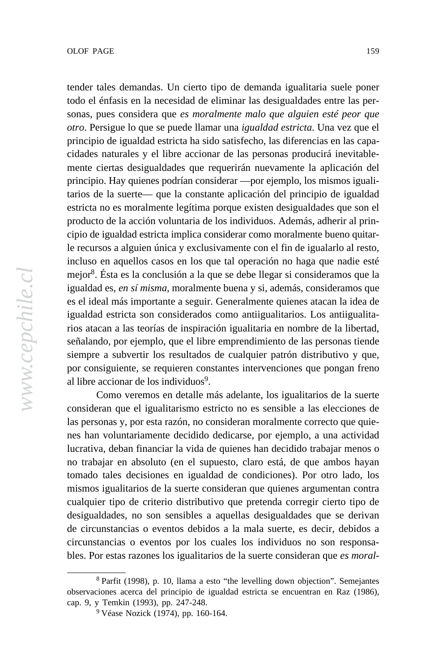tender tales demandas. Un cierto tipo de demanda igualitaria suele poner government during the 1990s. Moreover, the coalition is a community of the coalition in the coalition in the coalition in the coalition in the coalition in the coalition in the coalition in the coalition in the coalition todo el énfasis en la necesidad de eliminar las desigualdades entre las personas, pues considera que *es moralmente malo que alguien esté peor que* mo. I cisigue to que se puede namar una iguatada estricta. Ona vez principio de igualdad estricta ha sido satisfecho, las diferencias en las capaordates naturales y or note accional de las personas produenta inev mente ciertas desigualdades que requerirán nuevamente la aplicación del presidency and a majority in the Chamber of Deputies (the legislative house tarios de la suerte— que la constante aplicación del principio de igualdad estricta no es morammente regruma porque existen desiguardades que son el<br>producto de la acción voluntaria de los individuos. Además, adherir al prinproducto de la acción voluntaria de los marvidades. Además, admerir al principio de igualdad estricta implica considerar como moralmente bueno quitarcorruption charges against members, including the stripping of le recursos a alguien única y exclusivamente con el fin de igualarlo al resto, parliamente con en marca y exercisivamente con en male iguarano antesto, incluso en aquellos casos en los que tal operación no haga que nadie esté  $\frac{1}{2}$  discrete that goes with  $\frac{1}{2}$  and  $\frac{1}{2}$  and  $\frac{1}{2}$  and  $\frac{1}{2}$  and  $\frac{1}{2}$  and  $\frac{1}{2}$  and  $\frac{1}{2}$  and  $\frac{1}{2}$  and  $\frac{1}{2}$  and  $\frac{1}{2}$  and  $\frac{1}{2}$  and  $\frac{1}{2}$  and  $\frac{1}{2}$  and  $\frac{1$ mejor<sup>8</sup>. Ésta es la conclusión a la que se debe llegar si consideramos que la  $A_{11}$  of the some combination of the metal independent independent independent independent independent independent independent independent in  $A_{21}$ es el ideal más importante a seguir. Generalmente quienes atacan la idea de rios atacan a las teorías de inspiración igualitaria en nombre de la libertad, nos atacan a las teorías de inspiración iguantana en hombre de la hoertad, señalando, por ejemplo, que el libre emprendimiento de las personas tiende  $\frac{1}{1}$  schalando, por ejemplo, que el nore emprehammento de las personas siempre a subvertir los resultados de cualquier patrón distributivo y que, por consiguiente, se requieren constantes intervenciones que pongan freno *otro*. Persigue lo que se puede llamar una *igualdad estricta*. Una vez que el cidades naturales y el libre accionar de las personas producirá inevitableprincipio. Hay quienes podrían considerar —por ejemplo, los mismos igualiestricta no es moralmente legítima porque existen desigualdades que son el igualdad es, *en sí misma*, moralmente buena y si, además, consideramos que igualdad estricta son considerados como antiigualitarios. Los antiigualitaal libre accionar de los individuos<sup>9</sup>.

economic de la many of the issues.<br>Como veremos en detalle más adelante, los igualitarios de la suerte democratic legacy of the Pinochet era —including the renowned consideran que el igualitarismo estricto no es sensible a las elecciones de las personas y, por esta razón, no consideran moralmente correcto que quienes han voluntariamente decidido dedicarse, por ejemplo, a una actividad lucrativa, deban financiar la vida de quienes han decidido trabajar menos o no trabajar en absoluto (en el supuesto, claro está, de que ambos hayan tomado tales decisiones en igualdad de condiciones). Por otro lado, los mismos igualitarios de la suerte consideran que quienes argumentan contra cualquier tipo de criterio distributivo que pretenda corregir cierto tipo de desigualdades, no son sensibles a aquellas desigualdades que se derivan de circunstancias o eventos debidos a la mala suerte, es decir, debidos a circunstancias o eventos por los cuales los individuos no son responsables. Por estas razones los igualitarios de la suerte consideran que *es moral-*

<sup>8</sup> Parfit (1998), p. 10, llama a esto "the levelling down objection". Semejantes observaciones acerca del principio de igualdad estricta se encuentran en Raz (1986), cap. 9, y Temkin (1993), pp. 247-248.

<sup>9</sup> Véase Nozick (1974), pp. 160-164.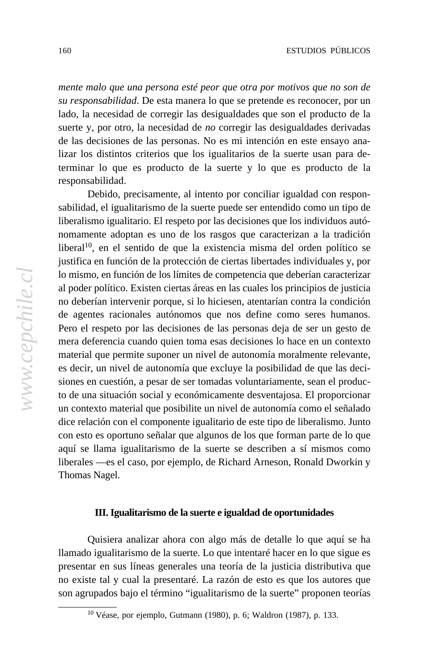mente malo que una persona esté peor que otra por motivos que no son de mente maio que una persona este peor que otra por motivos que no se *su responsabilidad*. De esta manera lo que se pretende es reconocer, por un lado, la necesidad de corregir las desigualdades que son el producto de la  $\frac{1}{2}$  might not only a differentially weaken. In a distribution, and  $\frac{1}{2}$  might not its component is component in and even its component in a subsequent in a subsequent in a subsequent in a subsequent in a subseq de las decisiones de las personas. No es mi intención en este ensayo ananzar fos afsuntos criterios que fos tguantarios de la suche asan para terminar lo que es producto de la suerte y lo que es producto de la suerte y, por otro, la necesidad de *no* corregir las desigualdades derivadas lizar los distintos criterios que los igualitarios de la suerte usan para deresponsabilidad.

responsaonidad.<br>Debido, precisamente, al intento por conciliar igualdad con responelected by popular vote) for 16 years. By the standards of multiparty sabilidad, el igualitarismo de la suerte puede ser entendido como un tipo de sabindad, el igualitario. El respeto por las decisiones que los individuos autó-<br>liberalismo igualitario. El respeto por las decisiones que los individuos autónocransmo iguantano. El respeto por las decisiones que los marvidades adio-<br>nomamente adoptan es uno de los rasgos que caracterizan a la tradición liberal<sup>10</sup>, en el sentido de que la existencia misma del orden político se para i en el senhado de que la existencia inisma del orden ponteo se justifica en función de la protección de ciertas libertades individuales y, por gustrica en función de la protección de eleitas nocrtades marvidades y, por lo mismo, en función de los límites de competencia que deberían caracterizar lo mismo, en función de los mintes de competencia que decernan caracterizar.<br>al poder político. Existen ciertas áreas en las cuales los principios de justicia pouce pointed. Existen cicrus areas en las cuales fos principios uc just no deberían intervenir porque, si lo hiciesen, atentarían contra la condición necessarily de vasta to the control survival for a numerotal for a numerotal for a numerotal for a number of reasons. n ero er respeio por las decisiones de las personas deja de ser un gesto de<br>mera deferencia cuando quien toma esas decisiones lo hace en un contexto  $\frac{1}{2}$  increased that  $\frac{1}{2}$  is started than that of any of  $\frac{1}{2}$  is  $\frac{1}{2}$  if  $\frac{1}{2}$  is  $\frac{1}{2}$  if  $\frac{1}{2}$  if  $\frac{1}{2}$  if  $\frac{1}{2}$  if  $\frac{1}{2}$  if  $\frac{1}{2}$  if  $\frac{1}{2}$  if  $\frac{1}{2}$  if  $\frac{1}{2}$  if material que permite suponer un nivel de autonomía moralmente relevante, es decir, un niver de adionomía que exertige la positionada de que las deci-<br>siones en cuestión, a pesar de ser tomadas voluntariamente, sean el produceconomic stewardship. Next, many of the issues surrounding the non-to de una situación social y económicamente desventajosa. El proporcionar no de una situación social y economicamente desventajosa. El proporcional un contexto material que posibilite un nivel de autonomía como el señalado de agentes racionales autónomos que nos define como seres humanos. es decir, un nivel de autonomía que excluye la posibilidad de que las decidice relación con el componente igualitario de este tipo de liberalismo. Junto con esto es oportuno señalar que algunos de los que forman parte de lo que aquí se llama igualitarismo de la suerte se describen a sí mismos como liberales —es el caso, por ejemplo, de Richard Arneson, Ronald Dworkin y Thomas Nagel.

### **III. Igualitarismo de la suerte e igualdad de oportunidades**

Quisiera analizar ahora con algo más de detalle lo que aquí se ha llamado igualitarismo de la suerte. Lo que intentaré hacer en lo que sigue es presentar en sus líneas generales una teoría de la justicia distributiva que no existe tal y cual la presentaré. La razón de esto es que los autores que son agrupados bajo el término "igualitarismo de la suerte" proponen teorías

<sup>10</sup> Véase, por ejemplo, Gutmann (1980), p. 6; Waldron (1987), p. 133.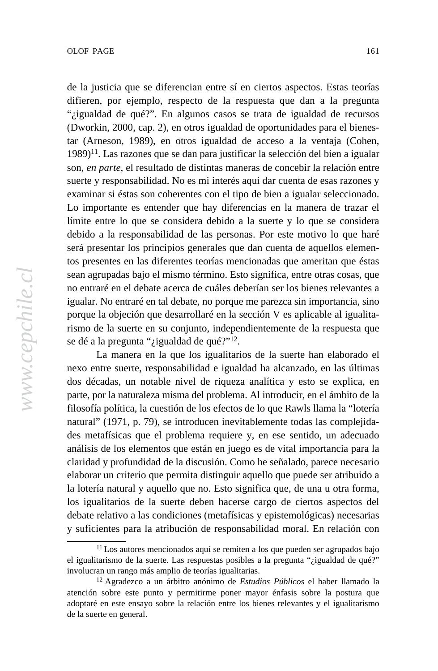de la justicia que se diferencian entre sí en ciertos aspectos. Estas teorías government during the the the the coalition is the coalition in the coalition in the coalition in the coalition in the coalition in the coalition in the coalition in the coalition in the coalition in the coalition in the c difieren, por ejemplo, respecto de la respuesta que dan a la pregunta "*i*gualdad de qué?". En algunos casos se trata de igualdad de recursos".  $(Dwolxni, 2000, cap. 2)$ , en ou os iguardad de Oponumuades para error. tar (Arneson, 1989), en otros igualdad de acceso a la ventaja (Cohen, 1999), en otros igualdad de acceso a la ventaja (Cohen, social status of divorces que se dan para justificar la selección del oten a igual<br>son, *en parte*, el resultado de distintas maneras de concebir la relación entre son, en parte, el resultado de distintas maneras de concebir la relación entre<br>suerte y responsabilidad. No es mi interés aquí dar cuenta de esas razones y  $p_{\text{ref}}$  and  $p_{\text{ref}}$  is the chamber of Deputies (the legislative house house house house house house house house house house house house house house house house house house house house house house house house house hou examinar si éstas son coherentes con el tipo de bien a igualar seleccionado. Lo importante es ententer que nay directivas en la manera de trazar en límite entre lo que se considera debido a la suerte y lo que se considera minte chite to que se considera debido a la suene y lo que se considerado debido a la responsabilidad de las personas. Por este motivo lo que haré será presentar los principios generales que dan cuenta de aquellos elemenserá presentarios principios generales que dan cuenta de aquenos elementos en las diferentes teorías mencionadas que ameritan que éstas general distribution of the reinforce with the reins of power for some property of power for some power for some power for some power for some power for some power for some power for some power for some power for some powe sean agrupadas bajo el mismo término. Esto significa, entre otras cosas, que no entraré en el debate acerca de cuales deberran ser los bienes felevantes a<br>igualar. No entraré en tal debate, no porque me parezca sin importancia, sino ne pareze a sur importancia, sincerta termine termine do notate.<br>porque la objeción que desarrollaré en la sección V es aplicable al igualitaporque la objecton que desarronare en la seceron  $\mathbf{v}$  es apricable al num rismo de la suerte en su conjunto, independientemente de la respuesta que (Dworkin, 2000, cap. 2), en otros igualdad de oportunidades para el bienes- $1989$ <sup> $11$ </sup>. Las razones que se dan para justificar la selección del bien a igualar Lo importante es entender que hay diferencias en la manera de trazar el no entraré en el debate acerca de cuáles deberían ser los bienes relevantes a se dé a la pregunta "*i* igualdad de qué?"<sup>12</sup>.

se de a la pregunta en la que italian de que:<br>La manera en la que los igualitarios de la suerte han elaborado el employment and growth figures rebounded in first months of 2003. The nexo entre suerte, responsabilidad e igualdad ha alcanzado, en las últimas nexo entre suerte, responsabindad e iguandad na alcanzado, en las unimas dos décadas, un notable nivel de riqueza analítica y esto se explica, en economic stecadas, un notable inver de riqueza analitica y esto se expirea, en<br>parte, por la naturaleza misma del problema. Al introducir, en el ámbito de la democratic legacy of the Pinochet era —including the renowned filosofía política, la cuestión de los efectos de lo que Rawls llama la "lotería natural" (1971, p. 79), se introducen inevitablemente todas las complejidades metafísicas que el problema requiere y, en ese sentido, un adecuado análisis de los elementos que están en juego es de vital importancia para la claridad y profundidad de la discusión. Como he señalado, parece necesario elaborar un criterio que permita distinguir aquello que puede ser atribuido a la lotería natural y aquello que no. Esto significa que, de una u otra forma, los igualitarios de la suerte deben hacerse cargo de ciertos aspectos del debate relativo a las condiciones (metafísicas y epistemológicas) necesarias y suficientes para la atribución de responsabilidad moral. En relación con

<sup>11</sup> Los autores mencionados aquí se remiten a los que pueden ser agrupados bajo el igualitarismo de la suerte. Las respuestas posibles a la pregunta "¿igualdad de qué?" involucran un rango más amplio de teorías igualitarias.

<sup>12</sup> Agradezco a un árbitro anónimo de *Estudios Públicos* el haber llamado la atención sobre este punto y permitirme poner mayor énfasis sobre la postura que adoptaré en este ensayo sobre la relación entre los bienes relevantes y el igualitarismo de la suerte en general.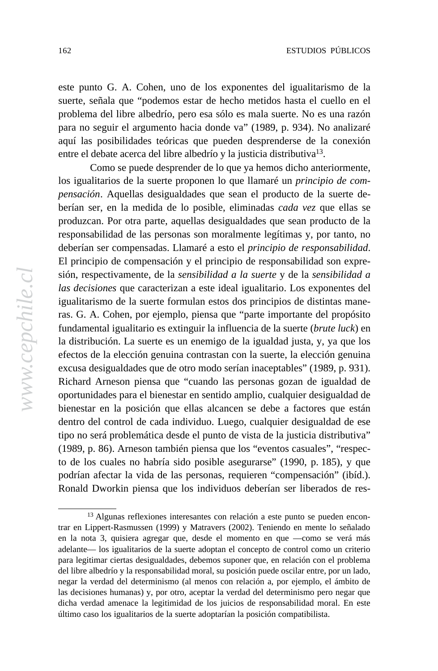este punto G. A. Cohen, uno de los exponentes del igualitarismo de la sue punto G. A. Conen, uno de los exponentes del igualitarismo de la<br>suerte, señala que "podemos estar de hecho metidos hasta el cuello en el gaerte, senara que pouentos estar de necho metados nasta er eueno en en<br>problema del libre albedrío, pero esa sólo es mala suerte. No es una razón problema del note anocario, però esa solo es mara suerte. No es una razon<br>para no seguir el argumento hacia donde va" (1989, p. 934). No analizaré para no segun el argumento naela donde va (1909, p. 934). No analizado aquí las posibilidades teóricas que pueden desprenderse de la conexión entre el debate acerca del libre albedrío y la justicia distributiva<sup>13</sup>.

over social issues, such as the legal status of divorce and access to birth Como se puede desprender de lo que ya hemos dicho anteriormente, control. Finally, by the 2005 elections, the Concertación will have held the los igualitarios de la suerte proponen lo que llamaré un *principio de com*pensación. Aquellas desigualdades que sean el producto de la suerte depensación. Aquenas desiguadades que sean el producto de la suerte de-<br>berían ser, en la medida de lo posible, eliminadas *cada vez* que ellas se produzcan. Por otra parte, aquellas desigualdades que sean producto de la  $\frac{1}{2}$ systems, the Concertación is geriatric, bearing the scars of miscellaneous responsabilidad de las personas son moralmente legítimas y, por tanto, no corruption charges against members, including the stripping of deberían ser compensadas. Llamaré a esto el *principio de responsabilidad*. el principio de compensación y el principio de responsabilidad son expre-<br>El principio de compensación y el principio de responsabilidad son expre- $\mu$  displaced discontroller that goes with  $\mu$  and  $\mu$  so  $\mu$  so  $\mu$  so  $\mu$  so  $\mu$  so  $\mu$  so  $\mu$  so  $\mu$  so  $\mu$  so  $\mu$  so  $\mu$  so  $\mu$  so  $\mu$  so  $\mu$  so  $\mu$  so  $\mu$  so  $\mu$  so  $\mu$  so  $\mu$  so  $\mu$  so  $\mu$  so long. One might conclude, then, that the coalition is simply ready to expire. sión, respectivamente, de la *sensibilidad a la suerte* y de la *sensibilidad a* restabilitarismo de la suerte formulan estos dos principios de distintas maneundermine the Concertación, but we do not regard these factors as ras. G. A. Cohen, por ejemplo, piensa que "parte importante del propósito nastigatival for a number of reasons fundamental igualitario es extinguir la influencia de la suerte (*brute luck*) en Innuamental igualitario es extingun la influencia de la suerte (*ortile titek)* en<br>la distribución. La suerte es un enemigo de la igualdad justa, y, ya que los ra distribución. El suerte es un enemigo de la iguandar justa, y, ya que los excusa desigualdades que de otro modo serían inaceptables" (1989, p. 931). Concertación may well be in a position in 2005 to claim credit for good Richard Arneson piensa que "cuando las personas gozan de igualdad de economic sternato en el bienestar en sentido amplio, cualquier desigualdad de oportunidades para el bienestar en sentido amplio, cualquier desigualdad de bienestar en la posición que ellas alcancen se debe a factores que están *las decisiones* que caracterizan a este ideal igualitario. Los exponentes del dentro del control de cada individuo. Luego, cualquier desigualdad de ese tipo no será problemática desde el punto de vista de la justicia distributiva" (1989, p. 86). Arneson también piensa que los "eventos casuales", "respecto de los cuales no habría sido posible asegurarse" (1990, p. 185), y que podrían afectar la vida de las personas, requieren "compensación" (ibíd.). Ronald Dworkin piensa que los individuos deberían ser liberados de res-

<sup>13</sup> Algunas reflexiones interesantes con relación a este punto se pueden encontrar en Lippert-Rasmussen (1999) y Matravers (2002). Teniendo en mente lo señalado en la nota 3, quisiera agregar que, desde el momento en que —como se verá más adelante— los igualitarios de la suerte adoptan el concepto de control como un criterio para legitimar ciertas desigualdades, debemos suponer que, en relación con el problema del libre albedrío y la responsabilidad moral, su posición puede oscilar entre, por un lado, negar la verdad del determinismo (al menos con relación a, por ejemplo, el ámbito de las decisiones humanas) y, por otro, aceptar la verdad del determinismo pero negar que dicha verdad amenace la legitimidad de los juicios de responsabilidad moral. En este último caso los igualitarios de la suerte adoptarían la posición compatibilista.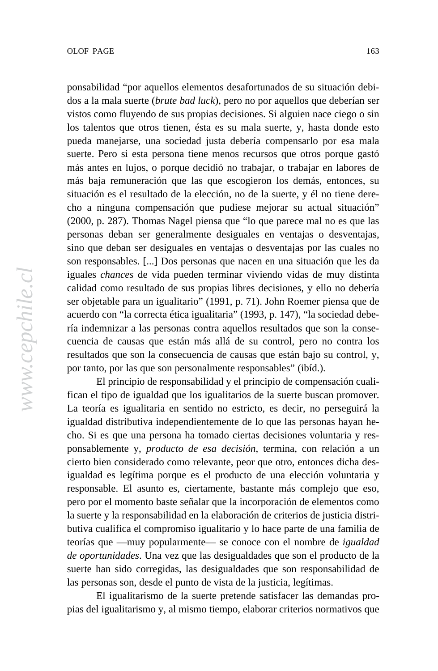ponsabilidad "por aquellos elementos desafortunados de su situación debigonsaomaat por aquenos elementos desarorumados de su situación dos a la mala suerte (*brute bad luck*), pero no por aquellos que deberían ser vistos como fluyendo de sus propias decisiones. Si alguien nace ciego o sin might naturally weaken. In a concertación, the Concertación in a component in a component in a component in a component in a component in a component in a component in a component in a component in a component in a compone pueda manejarse, una sociedad justa debería compensarlo por esa mala suche. I cho si esta persona tiene menos fecansos que otros porque más antes en lujos, o porque decidió no trabajar, o trabajar en labores de mas oga remuneración que las que escogleron los demas, entonces, su<br>situación es el resultado de la elección, no de la suerte, y él no tiene dereelectron, no de la suence, y el no delle detecto a ninguna compensación que pudiese mejorar su actual situación" coalitions anywhere, much less among Latin America's presidential (2000, p. 287). Thomas Nagel piensa que "lo que parece mal no es que las systems, the Concertación is geriatric, bearing the scars of miscellaneous personas deban ser generalmente desiguales en ventajas o desventajas, personas deban ser generalmente desiguales en ventajas o desventajas, sino que deban ser desiguales en ventajas o desventajas por las cuales no sino que deban ser desiguales en ventajas o desventajas por las cuales no<br>son responsables. [...] Dos personas que nacen en una situación que les da son responsables. [...] Dos personas que nacen en una situación que iguales *chances* de vida pueden terminar viviendo vidas de muy distinta  $A_1$  of the forces forces for the set of them, combined in the m, could independent of them, contains the m ser objetable para un igualitario" (1991, p. 71). John Roemer piensa que de  $\frac{1}{2}$  and  $\frac{1}{2}$  and  $\frac{1}{2}$  for a number of reasons. The concentration of  $\frac{1}{2}$  and  $\frac{1}{2}$  and  $\frac{1}{2}$  and  $\frac{1}{2}$  and  $\frac{1}{2}$  and  $\frac{1}{2}$  and  $\frac{1}{2}$  and  $\frac{1}{2}$  and  $\frac{1}{2}$  and  $\frac{1}{2}$  a ría indemnizar a las personas contra aquellos resultados que son la conse- $\frac{1}{100}$  factor factors show that the shape than that  $\frac{1}{100}$  of  $\frac{1}{100}$  for  $\frac{1}{100}$  for  $\frac{1}{100}$  for  $\frac{1}{100}$  for  $\frac{1}{100}$  for  $\frac{1}{100}$  for  $\frac{1}{100}$  for  $\frac{1}{100}$  for  $\frac{1}{100}$  for  $\frac{1$ resultados que son la consecuencia de causas que están bajo su control, y, los talentos que otros tienen, ésta es su mala suerte, y, hasta donde esto suerte. Pero si esta persona tiene menos recursos que otros porque gastó más baja remuneración que las que escogieron los demás, entonces, su calidad como resultado de sus propias libres decisiones, y ello no debería acuerdo con "la correcta ética igualitaria" (1993, p. 147), "la sociedad debecuencia de causas que están más allá de su control, pero no contra los por tanto, por las que son personalmente responsables" (ibíd.).

For tanto, por las que son personalmente responsables (iold.).<br>El principio de responsabilidad y el principio de compensación cuali-En principio de responsabilidad y el principio de compensación cuán-<br>fican el tipo de igualdad que los igualitarios de la suerte buscan promover. La teoría es igualitaria en sentido no estricto, es decir, no perseguirá la igualdad distributiva independientemente de lo que las personas hayan hecho. Si es que una persona ha tomado ciertas decisiones voluntaria y responsablemente y, *producto de esa decisión*, termina, con relación a un cierto bien considerado como relevante, peor que otro, entonces dicha desigualdad es legítima porque es el producto de una elección voluntaria y responsable. El asunto es, ciertamente, bastante más complejo que eso, pero por el momento baste señalar que la incorporación de elementos como la suerte y la responsabilidad en la elaboración de criterios de justicia distributiva cualifica el compromiso igualitario y lo hace parte de una familia de teorías que —muy popularmente— se conoce con el nombre de *igualdad de oportunidades*. Una vez que las desigualdades que son el producto de la suerte han sido corregidas, las desigualdades que son responsabilidad de las personas son, desde el punto de vista de la justicia, legítimas.

El igualitarismo de la suerte pretende satisfacer las demandas propias del igualitarismo y, al mismo tiempo, elaborar criterios normativos que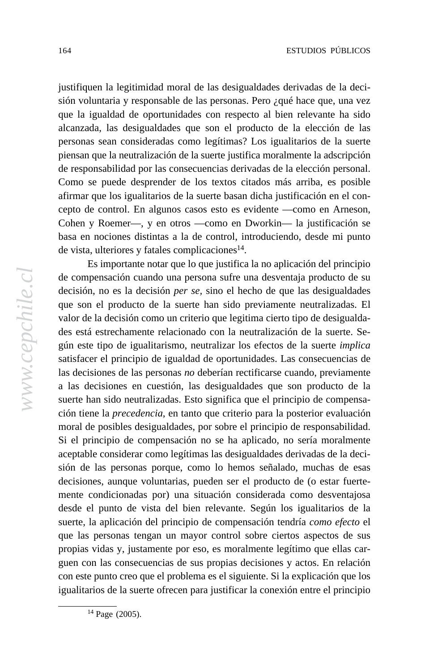justifiquen la legitimidad moral de las desigualdades derivadas de la decigovernment during the 1990s. More over the coalition is the coalition in the coalition in the coalition in the coalition in the coalition in the coalition in the coalition in the coalition in the coalition in the coalition sión voluntaria y responsable de las personas. Pero ¿qué hace que, una vez que la igualdad de oportunidades con respecto al bien relevante ha sido alcanzada, las desigualdades que son el producto de la elección de las personas sean consideradas como legítimas? Los igualitarios de la suerte piensan que la neutralización de la suerte justifica moralmente la adscripción de responsabilidad por las consecuencias derivadas de la elección personal. Como se puede desprender de los textos citados más arriba, es posible afirmar que los igualitarios de la suerte basan dicha justificación en el concepto de control. En algunos casos esto es evidente —como en Arneson, Cohen y Roemer—, y en otros —como en Dworkin— la justificación se basa en nociones distintas a la de control, introduciendo, desde mi punto de vista, ulteriores y fatales complicaciones<sup>14</sup>.

Es importante notar que lo que justifica la no aplicación del principio de compensación cuando una persona sufre una desventaja producto de su decisión, no es la decisión *per se*, sino el hecho de que las desigualdades que son el producto de la suerte han sido previamente neutralizadas. El valor de la decisión como un criterio que legitima cierto tipo de desigualdades está estrechamente relacionado con la neutralización de la suerte. Según este tipo de igualitarismo, neutralizar los efectos de la suerte *implica* satisfacer el principio de igualdad de oportunidades. Las consecuencias de las decisiones de las personas no deberían rectificarse cuando, previamente a las decisiones en cuestión, las desigualdades que son producto de la suerte han sido neutralizadas. Esto significa que el principio de compensación tiene la *precedencia*, en tanto que criterio para la posterior evaluación moral de posibles desigualdades, por sobre el principio de responsabilidad. Si el principio de compensación no se ha aplicado, no sería moralmente aceptable considerar como legítimas las desigualdades derivadas de la decisión de las personas porque, como lo hemos señalado, muchas de esas decisiones, aunque voluntarias, pueden ser el producto de (o estar fuertemente condicionadas por) una situación considerada como desventajosa desde el punto de vista del bien relevante. Según los igualitarios de la suerte, la aplicación del principio de compensación tendría *como efecto* el que las personas tengan un mayor control sobre ciertos aspectos de sus propias vidas y, justamente por eso, es moralmente legítimo que ellas carguen con las consecuencias de sus propias decisiones y actos. En relación con este punto creo que el problema es el siguiente. Si la explicación que los igualitarios de la suerte ofrecen para justificar la conexión entre el principio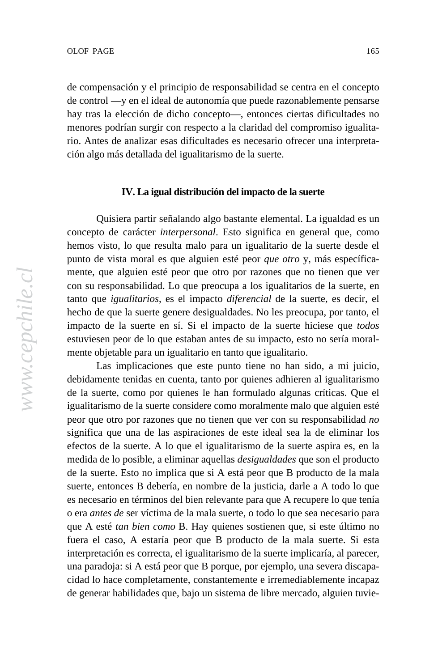de compensación y el principio de responsabilidad se centra en el concepto government during the 1990s. More over the complement of the 1990s. More complement was in the coalition in the coalition in the coalition in the coalition in the coalition of the coalition in the coalition of the coalitio de control —y en el ideal de autonomía que puede razonablemente pensarse hay tras la elección de dicho concepto—, entonces ciertas dificultades no menores pourran surgir con respecto a la crandad del compromiso re rio. Antes de analizar esas dificultades es necesario ofrecer una interpretación algo más detallada del igualitarismo de la suerte. menores podrían surgir con respecto a la claridad del compromiso igualita-

## **IV. La igual distribución del impacto de la suerte**  $\mathbf{F}$ electric by the standards of  $\mathbf{F}$

Quisiera partir señalando algo bastante elemental. La igualdad es un concepto de carácter *interpersonal*. Esto significa en general que, como hemos visto, lo que resulta malo para un igualitario de la suerte desde el punto de vista moral es que alguien esté peor *que otro* y, más específicamente, que alguien esté peor que otro por razones que no tienen que ver  $\overline{\phantom{a}}$ con su responsabilidad. Lo que preocupa a los igualitarios de la suerte, en Any of these forces, or some combination of them, could indeed tanto que *igualitarios*, es el impacto *diferencial* de la suerte, es decir, el hecho de que la suerte genere desigualdades. No les preocupa, por tanto, el impacto de la suerte en sí. Si el impacto de la suerte hiciese que *todos* estuviesen peor de lo que estaban antes de su impacto, esto no sería moralmente objetable para un igualitario en tanto que igualitario.

Las implicaciones que este punto tiene no han sido, a mi juicio, debidamente tenidas en cuenta, tanto por quienes adhieren al igualitarismo de la suerte, como por quienes le han formulado algunas críticas. Que el igualitarismo de la suerte considere como moralmente malo que alguien esté peor que otro por razones que no tienen que ver con su responsabilidad *no* significa que una de las aspiraciones de este ideal sea la de eliminar los efectos de la suerte. A lo que el igualitarismo de la suerte aspira es, en la medida de lo posible, a eliminar aquellas *desigualdades* que son el producto de la suerte. Esto no implica que si A está peor que B producto de la mala suerte, entonces B debería, en nombre de la justicia, darle a A todo lo que es necesario en términos del bien relevante para que A recupere lo que tenía o era *antes de* ser víctima de la mala suerte, o todo lo que sea necesario para que A esté *tan bien como* B. Hay quienes sostienen que, si este último no fuera el caso, A estaría peor que B producto de la mala suerte. Si esta interpretación es correcta, el igualitarismo de la suerte implicaría, al parecer, una paradoja: si A está peor que B porque, por ejemplo, una severa discapacidad lo hace completamente, constantemente e irremediablemente incapaz de generar habilidades que, bajo un sistema de libre mercado, alguien tuvie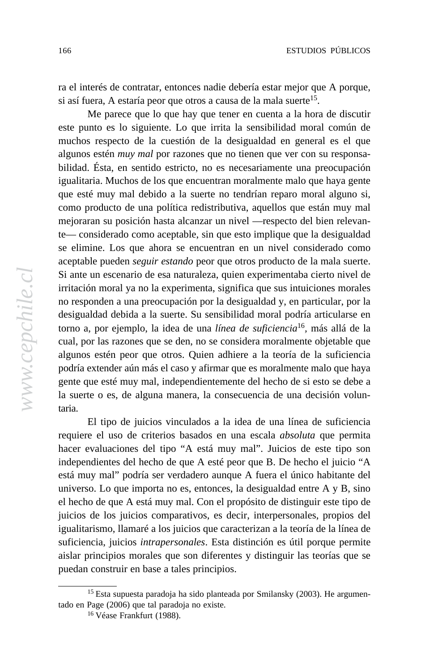ra el interés de contratar, entonces nadie debería estar mejor que A porque, ra er interes de comitada, entonces nadre deberra estar inejor que A pois i así fuera, A estaría peor que otros a causa de la mala suerte<sup>15</sup>.

galvanization to the Pinochet regime of the 1970s and 1970s and 1970s and 1970s and 1970s and 1970s and 1970s and 1970s and 1970s and 1970s and 1970s and 1970s and 1970s and 1970s and 1970s and 1970s and 1970s and 1970s an 1980s, so as time passes, the compelling force of that initial motivation este punto es lo siguiente. Lo que irrita la sensibilidad moral común de este punto es lo siguiente. Lo que firma la sensionidad moral comu muchos respecto de la cuestión de la desigualdad en general es el que argunos esten *may mal* por razones que no denen que ver con su respe bilidad. Ésta, en sentido estricto, no es necesariamente una preocupación presidency and a majority in the Chamber of Deputies (the legislative house que esté muy mal debido a la suerte no tendrían reparo moral alguno si, elected by popular vote) for 16 years. By the standards of multiparty como producto de una política redistributiva, aquellos que están muy mal como producto de una pontica redistribuiva, aquenos que están muy mai mejoraran su posición hasta alcanzar un nivel —respecto del bien relevannejoraran su posteron nasta ateanzar un niver —respecto der oten rerevan-<br>te— considerado como aceptable, sin que esto implique que la desigualdad se elimine. Los que ahora se encuentran en un nivel considerado como parliamentary rights from five of the coalition's deputies in 2002, and the aceptable pueden *seguir estando* peor que otros producto de la mala suerte. aceptable pueden seguir estanto peut que buos producto de la maia su Si ante un escenario de esa naturaleza, quien experimentaba cierto nivel de hación morar ya no la experimenta, significa que sus intuiciones mo no responden a una preocupación por la desigualdad y, en particular, por la necessarily devastating to the coalition's survival for a number of reasons. torno a, por ejemplo, la idea de una *línea de suficiencia*<sup>16</sup>*,* más allá de la formo a, por ejempro, la fidea de una *unea de sujiciencia*, mas ana de la<br>cual, por las razones que se den, no se considera moralmente objetable que in far better shape than that of any of its Southern Cone neighbors, and algunos estén peor que otros. Quien adhiere a la teoría de la suficiencia employes rebounded in figures. Some and growth and the conduction and growth and growth and growth and growth and growth and growth and growth and growth and growth and growth and growth and growth and growth and growth an position extender administració y aminiar que es motamiente maio que naya gente que esté muy mal, independientemente del hecho de si esto se debe a echo que este may man, mae penanemente del necho de si esto se de la suerte o es, de alguna manera, la consecuencia de una decisión volunalgunos estén *muy mal* por razones que no tienen que ver con su responsaigualitaria. Muchos de los que encuentran moralmente malo que haya gente irritación moral ya no la experimenta, significa que sus intuiciones morales desigualdad debida a la suerte. Su sensibilidad moral podría articularse en taria.

El tipo de juicios vinculados a la idea de una línea de suficiencia requiere el uso de criterios basados en una escala *absoluta* que permita hacer evaluaciones del tipo "A está muy mal". Juicios de este tipo son independientes del hecho de que A esté peor que B. De hecho el juicio "A está muy mal" podría ser verdadero aunque A fuera el único habitante del universo. Lo que importa no es, entonces, la desigualdad entre A y B, sino el hecho de que A está muy mal. Con el propósito de distinguir este tipo de juicios de los juicios comparativos, es decir, interpersonales, propios del igualitarismo, llamaré a los juicios que caracterizan a la teoría de la línea de suficiencia, juicios *intrapersonales*. Esta distinción es útil porque permite aislar principios morales que son diferentes y distinguir las teorías que se puedan construir en base a tales principios.

<sup>15</sup> Esta supuesta paradoja ha sido planteada por Smilansky (2003). He argumentado en Page (2006) que tal paradoja no existe.

<sup>16</sup> Véase Frankfurt (1988).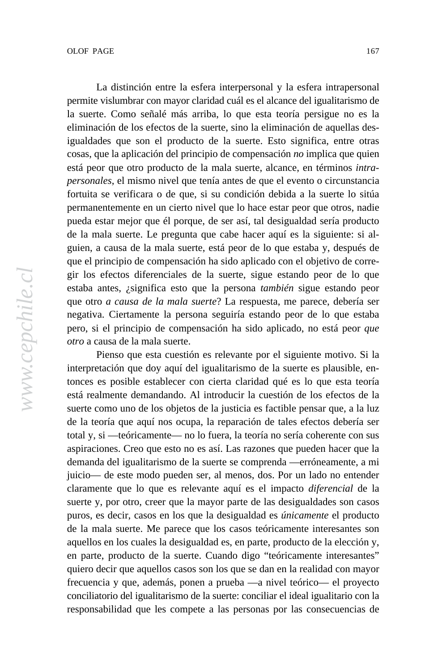ermite vislumbrar con mayor claridad cuál es el alcance del igualitarismo de permite visitimoral con mayor claridate can es el alcance del guantant. la suerte. Como señalé más arriba, lo que esta teoría persigue no es la emimiación de los crectos de la suerte, sino la emimiación de aquen igualdades que son el producto de la suerte. Esto significa, entre otras over social issues, such as the legal status of divorce and access to birth está peor que otro producto de la mala suerte, alcance, en términos *intra*control. Finally, by the 2005 elections, the Concertación will have held the *personales*, el mismo nivel que tenía antes de que el evento o circunstancia personates, el mismo mvel que tema antes de que el evento o encunstancia<br>fortuita se verificara o de que, si su condición debida a la suerte lo sitúa permanentemente en un cierto nivel que lo hace estar peor que otros, nadie permanemente en un eleito inver que fo nace estar peor que otros, nacie<br>pueda estar mejor que él porque, de ser así, tal desigualdad sería producto pueda estar mejor que er porque, de ser así, tar desiguadada sería producto<br>de la mala suerte. Le pregunta que cabe hacer aquí es la siguiente: si alcorruption charges against members, including the stripping of guien, a causa de la mala suerte, está peor de lo que estaba y, después de parliamentary rights from five of the coalition's deputies in 2002, and the que el principio de compensación ha sido aplicado con el objetivo de correque et principio de compensación ha sido apricado con el objetivo de gir los efectos diferenciales de la suerte, sigue estando peor de lo que  $\alpha$  and  $\beta$  is the computation of the some computation of the  $\alpha$ que otro *a causa de la mala suerte*? La respuesta, me parece, debería ser negarival cientamente ta persona seguina estando pedr de lo que pero, si el principio de compensación ha sido aplicado, no está peor *que* eliminación de los efectos de la suerte, sino la eliminación de aquellas descosas, que la aplicación del principio de compensación *no* implica que quien estaba antes, ¿significa esto que la persona *también* sigue estando peor negativa. Ciertamente la persona seguiría estando peor de lo que estaba *otro* a causa de la mala suerte.

in far better shape than that of any of its Southern Cone neighbors, and Pienso que esta cuestión es relevante por el siguiente motivo. Si la interpretación que doy aquí del igualitarismo de la suerte es plausible, enmerpretación que doy aquí del igualmarismo de la suerte es plausible, en-<br>tonces es posible establecer con cierta claridad qué es lo que esta teoría economic stewardship. Next, many of the issues surrounding the non-está realmente demandando. Al introducir la cuestión de los efectos de la democratic demandando. Al mitodida la caesado de los electos de la<br>suerte como uno de los objetos de la justicia es factible pensar que, a la luz de la teoría que aquí nos ocupa, la reparación de tales efectos debería ser total y, si —teóricamente— no lo fuera, la teoría no sería coherente con sus aspiraciones. Creo que esto no es así. Las razones que pueden hacer que la demanda del igualitarismo de la suerte se comprenda —erróneamente, a mi juicio— de este modo pueden ser, al menos, dos. Por un lado no entender claramente que lo que es relevante aquí es el impacto *diferencial* de la suerte y, por otro, creer que la mayor parte de las desigualdades son casos puros, es decir, casos en los que la desigualdad es *únicamente* el producto de la mala suerte. Me parece que los casos teóricamente interesantes son aquellos en los cuales la desigualdad es, en parte, producto de la elección y, en parte, producto de la suerte. Cuando digo "teóricamente interesantes" quiero decir que aquellos casos son los que se dan en la realidad con mayor frecuencia y que, además, ponen a prueba —a nivel teórico— el proyecto conciliatorio del igualitarismo de la suerte: conciliar el ideal igualitario con la responsabilidad que les compete a las personas por las consecuencias de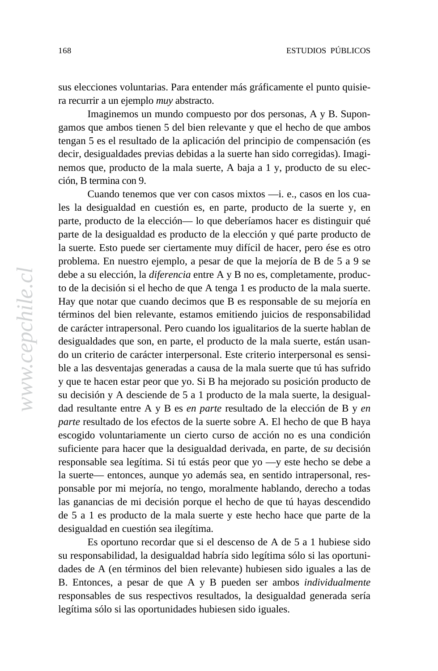economy has slowed somewhat since the coalition's early years in sus elecciones voluntarias. Para entender más gráficamente el punto quisiera recurrir a un ejemplo *muy* abstracto.

In regimento the Pinochet regime of the 1970s and 1970s and 1970s and 1970s and 1970s and 1970s and 1970s and 1 maginemos un mundo compuesto por dos personas, A y D. Supon-<br>gamos que ambos tienen 5 del bien relevante y que el hecho de que ambos zamos que ambos nenen s'uer bien relevante y que el neeno ue que ar tengan 5 es el resultado de la aplicación del principio de compensación (es over, acsiguariances previas accruas a la suche han sho corregiuas). In nemos que, producto de la mala suerte, A baja a 1 y, producto de su elecdecir, desigualdades previas debidas a la suerte han sido corregidas). Imagición, B termina con 9.

presidency and a majority in the Chamber of Deputies (the legislative house Cuando tenemos que ver con casos mixtos —i. e., casos en los cuaelectricity popular vote of casos interested by the standards of multiparty of multiparty of multiparty of multiparty of multiparty of multiparty of multiparty of multiparty of multiparty of multiparty of multiparty of mul les la desigualdad en cuestión es, en parte, producto de la suerte y, en parte, producto de la elección— lo que deberrandos nacer es disamgun que<br>parte de la desigualdad es producto de la elección y qué parte producto de parce de la desiguadad es producto de la cierción y que parce producto de<br>la suerte. Esto puede ser ciertamente muy difícil de hacer, pero ése es otro problema. En nuestro ejemplo, a pesar de que la mejoría de B de 5 a 9 se  $\mu$ bonema. En nuestro ejempro, a pesar ue que ra mejoría ue  $\mu$  ue s $\alpha$ debe a su elección, la *diferencia* entre A y B no es, completamente, produc- $\alpha$  and  $\alpha$  for the metric dependence of them, components of the main some containing  $\alpha$ Hay que notar que cuando decimos que B es responsable de su mejoría en necessarily devant to the common tend for a number of reasons of reasons. de carácter intrapersonal. Pero cuando los igualitarios de la suerte hablan de  $\frac{1}{\sqrt{1-\frac{1}{\sqrt{1-\frac{1}{\sqrt{1-\frac{1}{\sqrt{1-\frac{1}{\sqrt{1-\frac{1}{\sqrt{1-\frac{1}{\sqrt{1-\frac{1}{\sqrt{1-\frac{1}{\sqrt{1-\frac{1}{\sqrt{1-\frac{1}{\sqrt{1-\frac{1}{\sqrt{1-\frac{1}{\sqrt{1-\frac{1}{\sqrt{1-\frac{1}{\sqrt{1-\frac{1}{\sqrt{1-\frac{1}{\sqrt{1-\frac{1}{\sqrt{1-\frac{1}{\sqrt{1-\frac{1}{\sqrt{1-\frac{1}{\sqrt{1-\frac{1}{\sqrt{1-\frac{1}{\sqrt{1-\frac{1}{\sqrt{1-\frac{1$ do un criterio de carácter interpersonal. Este criterio interpersonal es sensiore a las desvellajas generadas a causa de la mala suerte que ta has surrido<br>y que te hacen estar peor que yo. Si B ha mejorado su posición producto de s que te nacen estar peor que yo. Si B na mejorado su posición producto de<br>su decisión y A desciende de 5 a 1 producto de la mala suerte, la desigualdad resultante entre A y B es *en parte* resultado de la elección de B y *en* parte, producto de la elección— lo que deberíamos hacer es distinguir qué to de la decisión si el hecho de que A tenga 1 es producto de la mala suerte. términos del bien relevante, estamos emitiendo juicios de responsabilidad desigualdades que son, en parte, el producto de la mala suerte, están usanble a las desventajas generadas a causa de la mala suerte que tú has sufrido *parte* resultado de los efectos de la suerte sobre A. El hecho de que B haya escogido voluntariamente un cierto curso de acción no es una condición suficiente para hacer que la desigualdad derivada, en parte, de *su* decisión responsable sea legítima. Si tú estás peor que yo —y este hecho se debe a la suerte— entonces, aunque yo además sea, en sentido intrapersonal, responsable por mi mejoría, no tengo, moralmente hablando, derecho a todas las ganancias de mi decisión porque el hecho de que tú hayas descendido de 5 a 1 es producto de la mala suerte y este hecho hace que parte de la desigualdad en cuestión sea ilegítima.

Es oportuno recordar que si el descenso de A de 5 a 1 hubiese sido su responsabilidad, la desigualdad habría sido legítima sólo si las oportunidades de A (en términos del bien relevante) hubiesen sido iguales a las de B. Entonces, a pesar de que A y B pueden ser ambos *individualmente* responsables de sus respectivos resultados, la desigualdad generada sería legítima sólo si las oportunidades hubiesen sido iguales.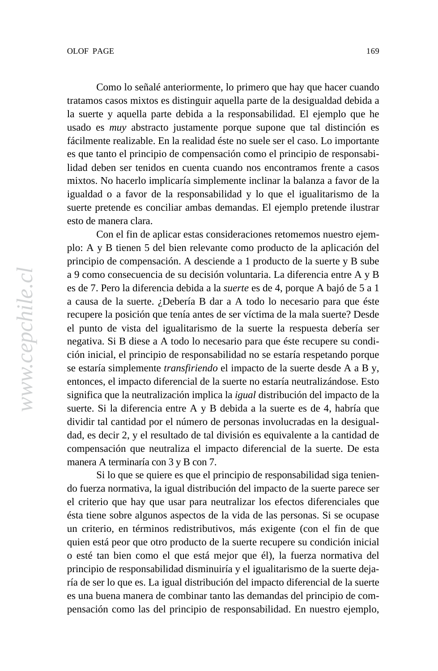Como lo señalé anteriormente, lo primero que hay que hacer cuando government during the 1990s. More over the computation is the computation in the computation in the coalition in the coalition in the coalition in the coalition in the coalition in the coalition in the coalition in the coa tratamos casos mixtos es distinguir aquella parte de la desigualdad debida a<br>1 la suerte y aquella parte debida a la responsabilidad. El ejemplo que he  $\alpha$  mas  $\alpha$  addition, the Concertación, and even its component is component in a set of  $\alpha$ . fácilmente realizable. En la realidad éste no suele ser el caso. Lo importante over social issues, such as the legal status of divorce and access to birth lidad deben ser tenidos en cuenta cuando nos encontramos frente a casos mixtos. No hacerlo implicaría simplemente inclinar la balanza a favor de la  $\frac{1}{2}$  matrix and a matrix in the change of  $\frac{1}{2}$  and  $\frac{1}{2}$  and  $\frac{1}{2}$  and  $\frac{1}{2}$  and  $\frac{1}{2}$  and  $\frac{1}{2}$  and  $\frac{1}{2}$  and  $\frac{1}{2}$  and  $\frac{1}{2}$  and  $\frac{1}{2}$  and  $\frac{1}{2}$  and  $\frac{1}{2}$  and  $\frac{1}{$ igualdad o a favor de la responsabilidad y lo que el igualitarismo de la suerte pretende es conciliar ambas demandas. El ejemplo pretende ilustrar usado es *muy* abstracto justamente porque supone que tal distinción es es que tanto el principio de compensación como el principio de responsabiesto de manera clara.

systems, the Concertación is geriatric, bearing the scars of miscellaneous Con el fin de aplicar estas consideraciones retomemos nuestro ejemplo: A y B tienen 5 del bien relevante como producto de la aplicación del pro. A y B defien 3 del bien felevante como producto de la apreación del<br>principio de compensación. A desciende a 1 producto de la suerte y B sube  $\mu$ merpro de compensación. A deserence a 1 producto de ra suerte y a 9 como consecuencia de su decisión voluntaria. La diferencia entre A y B  $\alpha$  and  $\alpha$  for the combined of the some conduct independent of the m, conduct independent independent independent independent independent independent independent independent in the conduct of the m  $\alpha$ a causa de la suerte. ¿Debería B dar a A todo lo necesario para que éste necessarily devastating to the coalition's survival for a number of reasons. el punto de vista del igualitarismo de la suerte la respuesta debería ser  $i \in \{1, 2, \ldots, n-1, \ldots, n-1, \ldots, n-1, \ldots, n-1, \ldots, n-1, \ldots, n-1, \ldots, n-1, \ldots, n-1, \ldots, n-1, \ldots, n-1, \ldots, n-1, \ldots, n-1, \ldots, n-1, \ldots, n-1, \ldots, n-1, \ldots, n-1, \ldots, n-1, \ldots, n-1, \ldots, n-1, \ldots, n-1, \ldots, n-1, \ldots, n-1, \ldots, n-1, \ldots, n-1, \ldots, n-1, \ldots, n-1, \ld$ ción inicial, el principio de responsabilidad no se estaría respetando porque se estaría simplemente *transfiriendo* el impacto de la suerte desde A a B y, economic stewardship. Next, many of the issues surrounding the non-significa que la neutralización implica la *igual* distribución del impacto de la  $\alpha$ ignifica que la heditalización implica la igual distribución del implició de la suerte. Si la diferencia entre A y B debida a la suerte es de 4, habría que es de 7. Pero la diferencia debida a la *suerte* es de 4, porque A bajó de 5 a 1 recupere la posición que tenía antes de ser víctima de la mala suerte? Desde negativa. Si B diese a A todo lo necesario para que éste recupere su condientonces, el impacto diferencial de la suerte no estaría neutralizándose. Esto dividir tal cantidad por el número de personas involucradas en la desigualdad, es decir 2, y el resultado de tal división es equivalente a la cantidad de compensación que neutraliza el impacto diferencial de la suerte. De esta manera A terminaría con 3 y B con 7.

Si lo que se quiere es que el principio de responsabilidad siga teniendo fuerza normativa, la igual distribución del impacto de la suerte parece ser el criterio que hay que usar para neutralizar los efectos diferenciales que ésta tiene sobre algunos aspectos de la vida de las personas. Si se ocupase un criterio, en términos redistributivos, más exigente (con el fin de que quien está peor que otro producto de la suerte recupere su condición inicial o esté tan bien como el que está mejor que él), la fuerza normativa del principio de responsabilidad disminuiría y el igualitarismo de la suerte dejaría de ser lo que es. La igual distribución del impacto diferencial de la suerte es una buena manera de combinar tanto las demandas del principio de compensación como las del principio de responsabilidad. En nuestro ejemplo,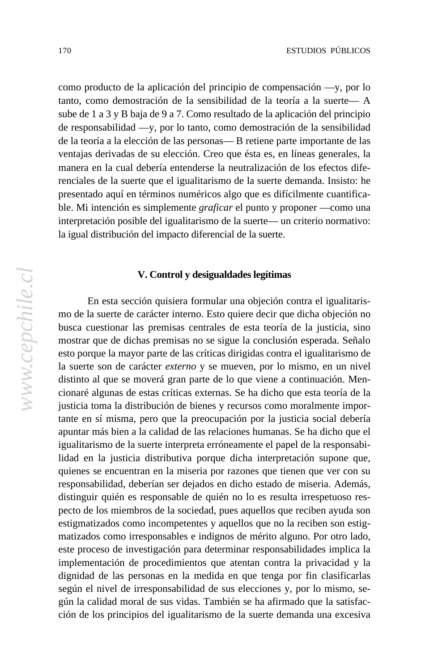como producto de la aplicación del principio de compensación —y, por lo enho producto de la apricación del principio de compensación — y, por lo<br>tanto, como demostración de la sensibilidad de la teoría a la suerte— A galvanized around opposition to the Pinochet regime of the U.S. and the Pinochet regime of the 1970s and  $\frac{1}{2}$ sube de 1 a 3 y B baja de 9 a 7. Como resultado de la aplicación del principio  $\alpha$  responsabilidad $\alpha$ , por io tanto, como demostración de la sensión, and  $\alpha$ de la teoría a la elección de las personas— B retiene parte importante de las venajas derivadas de su elección. Eleo que esta es, en inicias generales, la manera en la cual debena entenderse la heddanzación de los electos dire-<br>renciales de la suerte que el igualitarismo de la suerte demanda. Insisto: he presentado aquí en términos numéricos algo que es difícilmente cuantificapresentado aquí en terminos numericos argo que es unienmente cuantinea-<br>ble. Mi intención es simplemente *graficar* el punto y proponer —como una interpretación posible del igualitarismo de la suerte— un criterio normativo:  $\frac{1}{3}$ s systems of miscellaneous is germanismo de la succession en enterio normalizala igual distribución del impacto diferencial de la suerte. de responsabilidad —y, por lo tanto, como demostración de la sensibilidad ventajas derivadas de su elección. Creo que ésta es, en líneas generales, la

## $\mathbf{v} \circ \mathbf{v} \circ \mathbf{v}$ long. One might conclude, then, that the coalition is simply ready to expire. **V. Control y desigualdades legítimas**

En esta sección quisiera formular una objeción contra el igualitarismo de la suerte de carácter interno. Esto quiere decir que dicha objeción no ho de la suerte de candeter memo. Esto quere deen que diena objecton no<br>busca cuestionar las premisas centrales de esta teoría de la justicia, sino mostrar que de dichas premisas no se sigue la conclusión esperada. Señalo in far better shape than that of any of its Southern Cone neighbors, and esto porque la mayor parte de las críticas dirigidas contra el igualitarismo de employment and growth figures rebounded in first months of 2003. The la suerte son de carácter *externo* y se mueven, por lo mismo, en un nivel distinto al que se moverá gran parte de lo que viene a continuación. Mencionaré algunas de estas críticas externas. Se ha dicho que esta teoría de la justicia toma la distribución de bienes y recursos como moralmente importante en sí misma, pero que la preocupación por la justicia social debería apuntar más bien a la calidad de las relaciones humanas. Se ha dicho que el igualitarismo de la suerte interpreta erróneamente el papel de la responsabilidad en la justicia distributiva porque dicha interpretación supone que, quienes se encuentran en la miseria por razones que tienen que ver con su responsabilidad, deberían ser dejados en dicho estado de miseria. Además, distinguir quién es responsable de quién no lo es resulta irrespetuoso respecto de los miembros de la sociedad, pues aquellos que reciben ayuda son estigmatizados como incompetentes y aquellos que no la reciben son estigmatizados como irresponsables e indignos de mérito alguno. Por otro lado, este proceso de investigación para determinar responsabilidades implica la implementación de procedimientos que atentan contra la privacidad y la dignidad de las personas en la medida en que tenga por fin clasificarlas según el nivel de irresponsabilidad de sus elecciones y, por lo mismo, según la calidad moral de sus vidas. También se ha afirmado que la satisfacción de los principios del igualitarismo de la suerte demanda una excesiva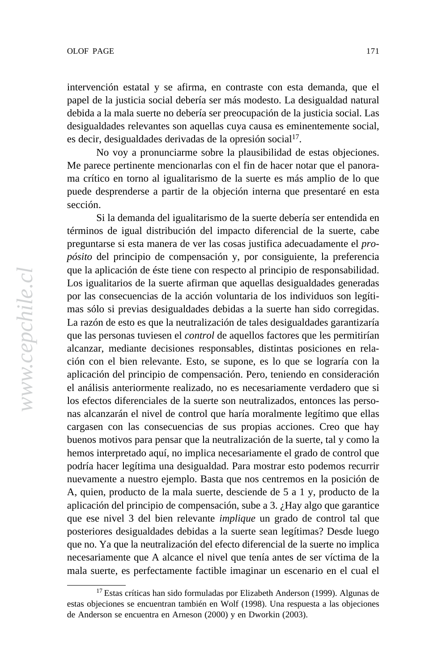intervención estatal y se afirma, en contraste con esta demanda, que el ment during te alimina, en comalitic con esta demanda, que el<br>papel de la justicia social debería ser más modesto. La desigualdad natural galvanized around opposition to the Pinochet regime of the 1970s and debida a la mala suerte no debería ser preocupación de la justicia social. Las desigualdades relevantes son aquellas cuya causa es eminentemente social, esta es decir, desigualdades derivadas de la opresión social<sup>17</sup>.

parties —most notably the Christian Democrats— are internally divided No voy a pronunciarme sobre la plausibilidad de estas objeciones. Me parece pertinente mencionarlas con el fin de hacer notar que el panorama crítico en torno al igualitarismo de la suerte es más amplio de lo que puede desprenderse a partir de la objeción interna que presentaré en esta  $\frac{1}{\sec^2\theta}$  is the standard by the standards of multiparty of multiparty of  $\frac{1}{\tan\theta}$ sección.

Si la demanda del igualitarismo de la suerte debería ser entendida en términos de igual distribución del impacto diferencial de la suerte, cabe preguntarse si esta manera de ver las cosas justifica adecuadamente el *propósito* del principio de compensación y, por consiguiente, la preferencia que la aplicación de éste tiene con respecto al principio de responsabilidad. Los igualitarios de la suerte afirman que aquellas desigualdades generadas por las consecuencias de la acción voluntaria de los individuos son legítimas sólo si previas desigualdades debidas a la suerte han sido corregidas. La razón de esto es que la neutralización de tales desigualdades garantizaría que las personas tuviesen el *control* de aquellos factores que les permitirían alcanzar, mediante decisiones responsables, distintas posiciones en relación con el bien relevante. Esto, se supone, es lo que se lograría con la aplicación del principio de compensación. Pero, teniendo en consideración el análisis anteriormente realizado, no es necesariamente verdadero que si los efectos diferenciales de la suerte son neutralizados, entonces las personas alcanzarán el nivel de control que haría moralmente legítimo que ellas cargasen con las consecuencias de sus propias acciones. Creo que hay buenos motivos para pensar que la neutralización de la suerte, tal y como la hemos interpretado aquí, no implica necesariamente el grado de control que podría hacer legítima una desigualdad. Para mostrar esto podemos recurrir nuevamente a nuestro ejemplo. Basta que nos centremos en la posición de A, quien, producto de la mala suerte, desciende de 5 a 1 y, producto de la aplicación del principio de compensación, sube a 3. ¿Hay algo que garantice que ese nivel 3 del bien relevante *implique* un grado de control tal que posteriores desigualdades debidas a la suerte sean legítimas? Desde luego que no. Ya que la neutralización del efecto diferencial de la suerte no implica necesariamente que A alcance el nivel que tenía antes de ser víctima de la mala suerte, es perfectamente factible imaginar un escenario en el cual el

<sup>&</sup>lt;sup>17</sup> Estas críticas han sido formuladas por Elizabeth Anderson (1999). Algunas de estas objeciones se encuentran también en Wolf (1998). Una respuesta a las objeciones de Anderson se encuentra en Arneson (2000) y en Dworkin (2003).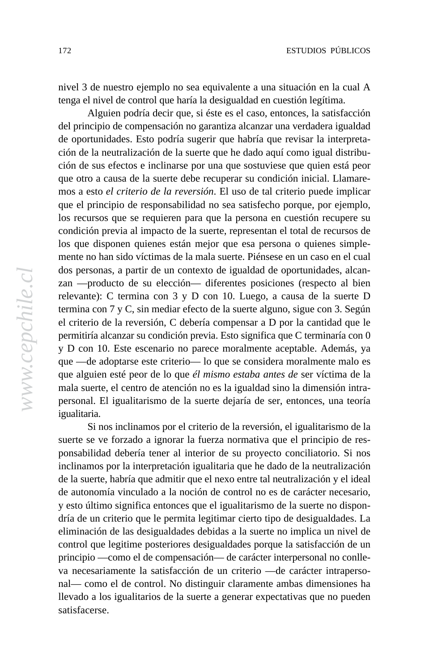nivel 3 de nuestro ejemplo no sea equivalente a una situación en la cual A more 3 de nuestro ejemplo no sea equivalente a una situación en la control que haría la desigualdad en cuestión legítima.

galvanized around opposition to the Pinochet regime of the 1970s and Alguien podría decir que, si éste es el caso, entonces, la satisfacción 1980s, so este os er caso, entonces, ta sanstacción del principio de compensación no garantiza alcanzar una verdadera igualdad de oportunidades. Esto podría sugerir que habría que revisar la interpretaparties —most notably the Christian Democrats— are internally divided ción de la neutralización de la suerte que he dado aquí como igual distribuover social issues, such as the legal status of divorce and access to birth ción de sus efectos e inclinarse por una que sostuviese que quien está peor control. Finally, by the 2005 elections, the Concertación will have held the que otro a causa de la suerte debe recuperar su condición inicial. Llamaren<br>mos a esto *el criterio de la reversión*. El uso de tal criterio puede implicar que el principio de responsabilidad no sea satisfecho porque, por ejemplo, los recursos que se requieren para que la persona en cuestión recupere su condición previa al impacto de la suerte, representan el total de recursos de los que disponen quienes están mejor que esa persona o quienes simplemente no han sido víctimas de la mala suerte. Piénsese en un caso en el cual dos personas, a partir de un contexto de igualdad de oportunidades, alcanzan —producto de su elección— diferentes posiciones (respecto al bien relevante): C termina con 3 y D con 10. Luego, a causa de la suerte D termina con 7 y C, sin mediar efecto de la suerte alguno, sigue con 3. Según el criterio de la reversión, C debería compensar a D por la cantidad que le permitiría alcanzar su condición previa. Esto significa que C terminaría con 0 y D con 10. Este escenario no parece moralmente aceptable. Además, ya que —de adoptarse este criterio— lo que se considera moralmente malo es que alguien esté peor de lo que él mismo estaba antes de ser víctima de la mala suerte, el centro de atención no es la igualdad sino la dimensión intrapersonal. El igualitarismo de la suerte dejaría de ser, entonces, una teoría igualitaria.

Si nos inclinamos por el criterio de la reversión, el igualitarismo de la suerte se ve forzado a ignorar la fuerza normativa que el principio de responsabilidad debería tener al interior de su proyecto conciliatorio. Si nos inclinamos por la interpretación igualitaria que he dado de la neutralización de la suerte, habría que admitir que el nexo entre tal neutralización y el ideal de autonomía vinculado a la noción de control no es de carácter necesario, y esto último significa entonces que el igualitarismo de la suerte no dispondría de un criterio que le permita legitimar cierto tipo de desigualdades. La eliminación de las desigualdades debidas a la suerte no implica un nivel de control que legitime posteriores desigualdades porque la satisfacción de un principio —como el de compensación— de carácter interpersonal no conlleva necesariamente la satisfacción de un criterio —de carácter intrapersonal— como el de control. No distinguir claramente ambas dimensiones ha llevado a los igualitarios de la suerte a generar expectativas que no pueden satisfacerse.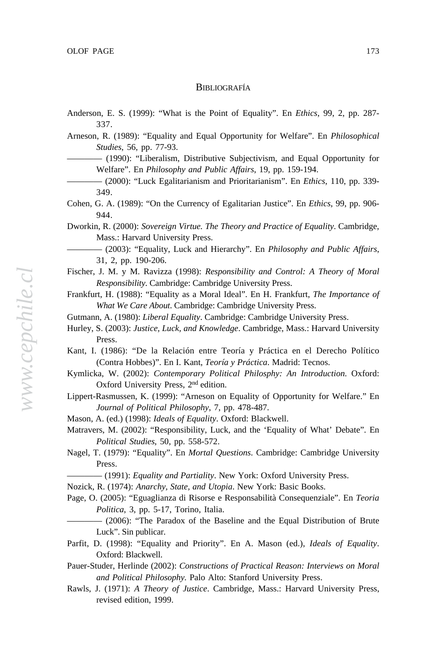#### economy has slowed somewhat since the coalition's early years in  $L$ ing to  $\alpha$ <sub>199</sub>0s. Moreover, the coalition is consider was in  $\alpha$ BIBLIOGRAFÍA

- $\ell_{\text{ref}}$  around  $\mathbf{F}$ ,  $\mathbf{G}$  (1000),  $\mathbf{G}\mathbf{W}_{\text{ref}}$  is the Print of  $\mathbf{F}_{\text{ref}}$  is  $\mathbf{F}$ ,  $\mathbf{F}d$ ,  $\mathbf{G}$  and  $\mathbf{G}$ Anderson, E. S. (1999): "What is the Point of Equality". En *Ethics*, 99, 2, pp. 287-<br>337 337.
- Arneson, R. (1989): "Equality and Equal Opportunity for Welfare". En *Philosophical* parties —most notably the Christian Democrats— are internally divided *Studies*, 56, pp. 77-93.
- **-** (1990): "Liberalism, Distributive Subjectivism, and Equal Opportunity for Welfare". En *Philosophy and Public Affairs*, 19, pp. 159-194.
- (2000): "Luck Egalitarianism and Prioritarianism". En *Ethics*, 110, pp. 339-<br>
<sup>240</sup> 349.
- Cohen, G. A. (1989): "On the Currency of Egalitarian Justice". En *Ethics*, 99, pp. 906- $944.$ 944.
- Dworkin, R. (2000): *Sovereign Virtue. The Theory and Practice of Equality*. Cambridge, Mass.: Harvard University Press.
- (2003): "Equality, Luck and Hierarchy". En *Philosophy and Public Affairs*, 31, 2, pp. 190-206.
- Fischer, J. M. y M. Ravizza (1998): *Responsibility and Control: A Theory of Moral Responsibility*. Cambridge: Cambridge University Press.
- Frankfurt, H. (1988): "Equality as a Moral Ideal". En H. Frankfurt, *The Importance of* What We Care About. Cambridge: Cambridge University Press.
- Gutmann, A. (1980): *Liberal Equality*. Cambridge: Cambridge University Press.<br>  $\overrightarrow{A} = \overrightarrow{A} = \overrightarrow{A} = \overrightarrow{A} = \overrightarrow{A} = \overrightarrow{A} = \overrightarrow{A} = \overrightarrow{A} = \overrightarrow{A} = \overrightarrow{A} = \overrightarrow{A} = \overrightarrow{A} = \overrightarrow{A} = \overrightarrow{A} = \overrightarrow{A} = \overrightarrow{A} = \overrightarrow{A} = \overrightarrow{A} = \overrightarrow{A} = \overrightarrow{A} = \$
- Hurley, S. (2003): *Justice, Luck, and Knowledge*. Cambridge, Mass.: Harvard University Press.
- Kant, I. (1986): "De la Relación entre Teoría y Práctica en el Derecho Político (Contra Hobbes)". En I. Kant, *Teoría y Práctica*. Madrid: Tecnos.
- Kymlicka, W. (2002): *Contemporary Political Philosphy: An Introduction*. Oxford: Oxford University Press,  $2<sup>nd</sup>$  edition.
- Lippert-Rasmussen, K. (1999): "Arneson on Equality of Opportunity for Welfare." En *Journal of Political Philosophy*, 7, pp. 478-487.
	- Mason, A. (ed.) (1998): *Ideals of Equality*. Oxford: Blackwell.
	- Matravers, M. (2002): "Responsibility, Luck, and the 'Equality of What' Debate". En *Political Studies*, 50, pp. 558-572.
	- Nagel, T. (1979): "Equality". En *Mortal Questions*. Cambridge: Cambridge University Press.
		- ———— (1991): *Equality and Partiality*. New York: Oxford University Press.
	- Nozick, R. (1974): *Anarchy, State, and Utopia*. New York: Basic Books.
	- Page, O. (2005): "Eguaglianza di Risorse e Responsabilità Consequenziale". En *Teoria Politica*, 3, pp. 5-17, Torino, Italia.
	- ———— (2006): "The Paradox of the Baseline and the Equal Distribution of Brute Luck". Sin publicar.
	- Parfit, D. (1998): "Equality and Priority". En A. Mason (ed.), *Ideals of Equality*. Oxford: Blackwell.
	- Pauer-Studer, Herlinde (2002): *Constructions of Practical Reason: Interviews on Moral and Political Philosophy.* Palo Alto: Stanford University Press.
	- Rawls, J. (1971): *A Theory of Justice*. Cambridge, Mass.: Harvard University Press, revised edition, 1999.